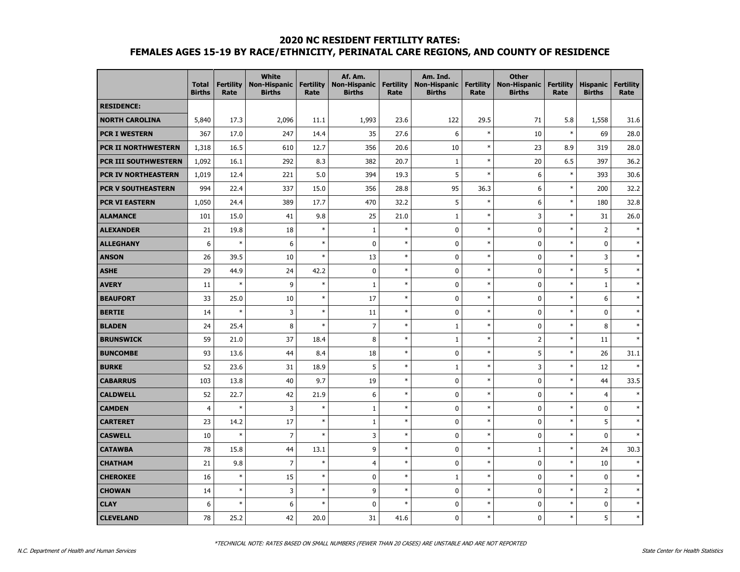#### **2020 NC RESIDENT FERTILITY RATES:**

# **FEMALES AGES 15-19 BY RACE/ETHNICITY, PERINATAL CARE REGIONS, AND COUNTY OF RESIDENCE**

|                           | <b>Total</b><br><b>Births</b> | <b>Fertility</b><br>Rate | <b>White</b><br><b>Non-Hispanic</b><br><b>Births</b> | <b>Fertility</b><br>Rate | Af. Am.<br><b>Non-Hispanic</b><br><b>Births</b> | <b>Fertility</b><br>Rate | Am. Ind.<br><b>Non-Hispanic</b><br><b>Births</b> | <b>Fertility</b><br>Rate | <b>Other</b><br><b>Non-Hispanic</b><br><b>Births</b> | <b>Fertility</b><br>Rate | <b>Hispanic</b><br><b>Births</b> | <b>Fertility</b><br>Rate |
|---------------------------|-------------------------------|--------------------------|------------------------------------------------------|--------------------------|-------------------------------------------------|--------------------------|--------------------------------------------------|--------------------------|------------------------------------------------------|--------------------------|----------------------------------|--------------------------|
| <b>RESIDENCE:</b>         |                               |                          |                                                      |                          |                                                 |                          |                                                  |                          |                                                      |                          |                                  |                          |
| <b>NORTH CAROLINA</b>     | 5,840                         | 17.3                     | 2,096                                                | 11.1                     | 1,993                                           | 23.6                     | 122                                              | 29.5                     | 71                                                   | 5.8                      | 1,558                            | 31.6                     |
| <b>PCR I WESTERN</b>      | 367                           | 17.0                     | 247                                                  | 14.4                     | 35                                              | 27.6                     | 6                                                | $\ast$                   | 10                                                   | $\ast$                   | 69                               | 28.0                     |
| PCR II NORTHWESTERN       | 1,318                         | 16.5                     | 610                                                  | 12.7                     | 356                                             | 20.6                     | 10                                               | $\ast$                   | 23                                                   | 8.9                      | 319                              | 28.0                     |
| PCR III SOUTHWESTERN      | 1,092                         | 16.1                     | 292                                                  | 8.3                      | 382                                             | 20.7                     | $1\,$                                            | $\ast$                   | 20                                                   | 6.5                      | 397                              | 36.2                     |
| PCR IV NORTHEASTERN       | 1,019                         | 12.4                     | 221                                                  | 5.0                      | 394                                             | 19.3                     | 5                                                | $\ast$                   | 6                                                    | $\ast$                   | 393                              | 30.6                     |
| <b>PCR V SOUTHEASTERN</b> | 994                           | 22.4                     | 337                                                  | 15.0                     | 356                                             | 28.8                     | 95                                               | 36.3                     | 6                                                    | $\ast$                   | 200                              | 32.2                     |
| <b>PCR VI EASTERN</b>     | 1,050                         | 24.4                     | 389                                                  | 17.7                     | 470                                             | 32.2                     | 5                                                | $\ast$                   | 6                                                    | $\ast$                   | 180                              | 32.8                     |
| <b>ALAMANCE</b>           | 101                           | 15.0                     | 41                                                   | 9.8                      | 25                                              | 21.0                     | $\mathbf{1}$                                     | $\ast$                   | 3                                                    | $\ast$                   | 31                               | 26.0                     |
| <b>ALEXANDER</b>          | 21                            | 19.8                     | 18                                                   | $\ast$                   | $\mathbf{1}$                                    | $\ast$                   | 0                                                | $\ast$                   | 0                                                    | $\ast$                   | $\overline{2}$                   | $\ast$                   |
| <b>ALLEGHANY</b>          | 6                             | $\ast$                   | 6                                                    | $\ast$                   | $\mathbf 0$                                     | $\ast$                   | $\mathbf 0$                                      | $\ast$                   | $\mathbf 0$                                          | $\ast$                   | $\mathbf 0$                      | $\ast$                   |
| <b>ANSON</b>              | 26                            | 39.5                     | 10                                                   | $\ast$                   | 13                                              | $\ast$                   | $\mathbf 0$                                      | $\ast$                   | $\pmb{0}$                                            | $\ast$                   | 3                                | $\ast$                   |
| <b>ASHE</b>               | 29                            | 44.9                     | 24                                                   | 42.2                     | $\mathbf 0$                                     | $\ast$                   | $\mathbf 0$                                      | $\ast$                   | $\mathbf 0$                                          | $\ast$                   | 5                                | $\ast$                   |
| <b>AVERY</b>              | 11                            | $\ast$                   | 9                                                    | $\ast$                   | $\mathbf{1}$                                    | $\ast$                   | $\mathbf 0$                                      | $\ast$                   | $\mathbf 0$                                          | $\ast$                   | $\mathbf{1}$                     | $\ast$                   |
| <b>BEAUFORT</b>           | 33                            | 25.0                     | 10                                                   | $\ast$                   | 17                                              | $\ast$                   | $\pmb{0}$                                        | $\ast$                   | $\pmb{0}$                                            | $\ast$                   | 6                                | $\ast$                   |
| <b>BERTIE</b>             | 14                            | $\ast$                   | 3                                                    | $\ast$                   | 11                                              | $\ast$                   | $\pmb{0}$                                        | $\ast$                   | $\pmb{0}$                                            | $\ast$                   | $\mathbf 0$                      | $\ast$                   |
| <b>BLADEN</b>             | 24                            | 25.4                     | 8                                                    | $\ast$                   | $\overline{7}$                                  | $\ast$                   | $\mathbf{1}$                                     | $\ast$                   | $\mathbf 0$                                          | $\ast$                   | 8                                | $\ast$                   |
| <b>BRUNSWICK</b>          | 59                            | 21.0                     | 37                                                   | 18.4                     | 8                                               | $\ast$                   | $\mathbf{1}$                                     | $\ast$                   | $\overline{2}$                                       | $\ast$                   | 11                               | $\ast$                   |
| <b>BUNCOMBE</b>           | 93                            | 13.6                     | 44                                                   | 8.4                      | 18                                              | $\ast$                   | $\mathbf 0$                                      | $\ast$                   | 5                                                    | $\ast$                   | 26                               | 31.1                     |
| <b>BURKE</b>              | 52                            | 23.6                     | 31                                                   | 18.9                     | 5                                               | $\ast$                   | $\mathbf{1}$                                     | $\ast$                   | 3                                                    | $\ast$                   | 12                               | $\ast$                   |
| <b>CABARRUS</b>           | 103                           | 13.8                     | 40                                                   | 9.7                      | 19                                              | $\ast$                   | $\mathbf 0$                                      | $\ast$                   | $\mathbf 0$                                          | $\ast$                   | 44                               | 33.5                     |
| <b>CALDWELL</b>           | 52                            | 22.7                     | 42                                                   | 21.9                     | 6                                               | $\ast$                   | $\mathbf 0$                                      | $\ast$                   | $\mathbf 0$                                          | $\ast$                   | $\overline{4}$                   | $\ast$                   |
| <b>CAMDEN</b>             | $\overline{4}$                | $\ast$                   | $\overline{3}$                                       | $\ast$                   | $\mathbf{1}$                                    | $\ast$                   | $\mathbf 0$                                      | $\ast$                   | $\mathbf 0$                                          | $\ast$                   | $\mathbf 0$                      | $\ast$                   |
| <b>CARTERET</b>           | 23                            | 14.2                     | 17                                                   | $\ast$                   | $\mathbf{1}$                                    | $\ast$                   | $\mathbf 0$                                      | $\ast$                   | $\mathbf 0$                                          | $\ast$                   | 5                                | $\ast$                   |
| <b>CASWELL</b>            | 10                            | $\ast$                   | $\overline{7}$                                       | $\ast$                   | 3                                               | $\ast$                   | $\mathbf 0$                                      | $\ast$                   | $\pmb{0}$                                            | $\ast$                   | $\mathbf 0$                      | $\ast$                   |
| <b>CATAWBA</b>            | 78                            | 15.8                     | 44                                                   | 13.1                     | 9                                               | $\ast$                   | $\mathbf 0$                                      | $\ast$                   | $\mathbf{1}$                                         | $\ast$                   | 24                               | 30.3                     |
| <b>CHATHAM</b>            | 21                            | 9.8                      | $\overline{7}$                                       | $\ast$                   | $\overline{4}$                                  | $\ast$                   | $\mathbf 0$                                      | $\ast$                   | $\mathbf 0$                                          | $\ast$                   | 10                               |                          |
| <b>CHEROKEE</b>           | 16                            | $\ast$                   | 15                                                   | $\ast$                   | $\mathbf 0$                                     | $\ast$                   | $\mathbf{1}$                                     | $\ast$                   | $\mathbf 0$                                          | $\ast$                   | $\mathbf 0$                      | $\ast$                   |
| <b>CHOWAN</b>             | 14                            | $\ast$                   | 3                                                    | $\ast$                   | 9                                               | $\ast$                   | $\mathbf{0}$                                     | $\ast$                   | $\pmb{0}$                                            | $\ast$                   | $\overline{2}$                   | $\ast$                   |
| <b>CLAY</b>               | 6                             | $\ast$                   | 6                                                    | $\ast$                   | 0                                               | $\ast$                   | $\mathbf 0$                                      | $\ast$                   | $\pmb{0}$                                            | $\ast$                   | $\pmb{0}$                        | $\ast$                   |
| <b>CLEVELAND</b>          | 78                            | 25.2                     | 42                                                   | 20.0                     | 31                                              | 41.6                     | $\mathbf{0}$                                     | $\ast$                   | $\mathbf 0$                                          | $\ast$                   | 5                                | $\ast$                   |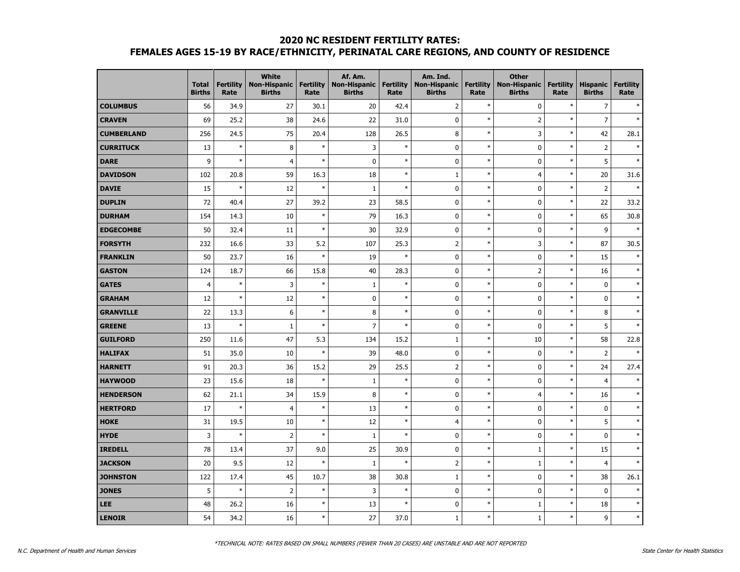## **2020 NC RESIDENT FERTILITY RATES: FEMALES AGES 15-19 BY RACE/ETHNICITY, PERINATAL CARE REGIONS, AND COUNTY OF RESIDENCE**

|                   | <b>Total</b><br><b>Births</b> | <b>Fertility</b><br>Rate | <b>White</b><br><b>Non-Hispanic</b><br><b>Births</b> | <b>Fertility</b><br>Rate | Af. Am.<br><b>Non-Hispanic</b><br><b>Births</b> | <b>Fertility</b><br>Rate | Am. Ind.<br><b>Non-Hispanic</b><br><b>Births</b> | <b>Fertility</b><br>Rate | <b>Other</b><br><b>Non-Hispanic</b><br><b>Births</b> | <b>Fertility</b><br>Rate | <b>Hispanic</b><br><b>Births</b> | <b>Fertility</b><br>Rate |
|-------------------|-------------------------------|--------------------------|------------------------------------------------------|--------------------------|-------------------------------------------------|--------------------------|--------------------------------------------------|--------------------------|------------------------------------------------------|--------------------------|----------------------------------|--------------------------|
| <b>COLUMBUS</b>   | 56                            | 34.9                     | 27                                                   | 30.1                     | 20                                              | 42.4                     | $\overline{2}$                                   | $\ast$                   | $\pmb{0}$                                            | $\ast$                   | $\overline{7}$                   |                          |
| <b>CRAVEN</b>     | 69                            | 25.2                     | 38                                                   | 24.6                     | 22                                              | 31.0                     | $\mathbf 0$                                      | $\ast$                   | $\overline{2}$                                       | $\ast$                   | $\overline{7}$                   | $\ast$                   |
| <b>CUMBERLAND</b> | 256                           | 24.5                     | 75                                                   | 20.4                     | 128                                             | 26.5                     | 8                                                | $\ast$                   | 3                                                    | $\ast$                   | 42                               | 28.1                     |
| <b>CURRITUCK</b>  | 13                            | $\ast$                   | 8                                                    | $\ast$                   | 3                                               | $\ast$                   | 0                                                | $\ast$                   | $\pmb{0}$                                            | $\ast$                   | $\overline{2}$                   | $\ast$                   |
| <b>DARE</b>       | 9                             | $\ast$                   | $\overline{4}$                                       | $\ast$                   | $\mathbf 0$                                     | $\ast$                   | $\mathbf 0$                                      | $\ast$                   | $\pmb{0}$                                            | $\ast$                   | 5                                | $\ast$                   |
| <b>DAVIDSON</b>   | 102                           | 20.8                     | 59                                                   | 16.3                     | 18                                              | $\ast$                   | $\mathbf{1}$                                     | $\ast$                   | $\overline{4}$                                       | $\ast$                   | 20                               | 31.6                     |
| <b>DAVIE</b>      | 15                            | $\ast$                   | 12                                                   | $\ast$                   | $\mathbf{1}$                                    | $\ast$                   | $\mathbf 0$                                      | $\ast$                   | $\mathbf 0$                                          | $\ast$                   | $\overline{2}$                   | $\ast$                   |
| <b>DUPLIN</b>     | 72                            | 40.4                     | 27                                                   | 39.2                     | 23                                              | 58.5                     | $\mathbf 0$                                      | $\ast$                   | $\mathbf 0$                                          | $\ast$                   | 22                               | 33.2                     |
| <b>DURHAM</b>     | 154                           | 14.3                     | 10                                                   | $\ast$                   | 79                                              | 16.3                     | $\mathbf 0$                                      | $\ast$                   | $\pmb{0}$                                            | $\ast$                   | 65                               | 30.8                     |
| <b>EDGECOMBE</b>  | 50                            | 32.4                     | 11                                                   | $\ast$                   | 30                                              | 32.9                     | $\mathbf 0$                                      | $\ast$                   | $\pmb{0}$                                            | $\ast$                   | 9                                | $\ast$                   |
| <b>FORSYTH</b>    | 232                           | 16.6                     | 33                                                   | 5.2                      | 107                                             | 25.3                     | $\mathbf 2$                                      | $\ast$                   | $\mathsf 3$                                          | $\ast$                   | 87                               | 30.5                     |
| <b>FRANKLIN</b>   | 50                            | 23.7                     | 16                                                   | $\ast$                   | 19                                              | $\ast$                   | $\mathbf 0$                                      | $\ast$                   | $\pmb{0}$                                            | $\ast$                   | 15                               |                          |
| <b>GASTON</b>     | 124                           | 18.7                     | 66                                                   | 15.8                     | 40                                              | 28.3                     | $\mathbf 0$                                      | $\ast$                   | $\mathbf 2$                                          | $\ast$                   | 16                               | $\ast$                   |
| <b>GATES</b>      | $\overline{4}$                | $\ast$                   | 3                                                    | $\ast$                   | $\mathbf 1$                                     | $\ast$                   | $\mathbf 0$                                      | $\ast$                   | $\pmb{0}$                                            | $\ast$                   | $\pmb{0}$                        | $\ast$                   |
| <b>GRAHAM</b>     | 12                            | $\ast$                   | 12                                                   | $\ast$                   | $\pmb{0}$                                       | $\ast$                   | $\mathbf 0$                                      | $\ast$                   | $\pmb{0}$                                            | $\ast$                   | $\pmb{0}$                        | $\ast$                   |
| <b>GRANVILLE</b>  | 22                            | 13.3                     | $\boldsymbol{6}$                                     | $\ast$                   | $\bf 8$                                         | $\ast$                   | $\mathbf 0$                                      | $\ast$                   | $\pmb{0}$                                            | $\ast$                   | $\bf 8$                          | $\ast$                   |
| <b>GREENE</b>     | 13                            | $\ast$                   | $\mathbf{1}$                                         | $\ast$                   | $\overline{7}$                                  | $\ast$                   | $\mathbf 0$                                      | $\ast$                   | $\pmb{0}$                                            | $\ast$                   | 5                                | $\ast$                   |
| <b>GUILFORD</b>   | 250                           | 11.6                     | 47                                                   | 5.3                      | 134                                             | 15.2                     | $\mathbf{1}$                                     | $\ast$                   | 10                                                   | $\ast$                   | 58                               | 22.8                     |
| <b>HALIFAX</b>    | 51                            | 35.0                     | 10                                                   | $\ast$                   | 39                                              | 48.0                     | $\mathbf 0$                                      | $\ast$                   | $\pmb{0}$                                            | $\ast$                   | $\mathsf{2}$                     | $\ast$                   |
| <b>HARNETT</b>    | 91                            | 20.3                     | 36                                                   | 15.2                     | 29                                              | 25.5                     | $\overline{2}$                                   | $\ast$                   | $\pmb{0}$                                            | $\ast$                   | 24                               | 27.4                     |
| <b>HAYWOOD</b>    | 23                            | 15.6                     | 18                                                   | $\ast$                   | $1\,$                                           | $\ast$                   | $\mathbf 0$                                      | $\ast$                   | $\pmb{0}$                                            | $\ast$                   | $\overline{4}$                   | $\ast$                   |
| <b>HENDERSON</b>  | 62                            | 21.1                     | 34                                                   | 15.9                     | 8                                               | $\ast$                   | $\mathbf 0$                                      | $\ast$                   | $\overline{4}$                                       | $\ast$                   | 16                               | $\ast$                   |
| <b>HERTFORD</b>   | 17                            | $\ast$                   | $\overline{4}$                                       | $\ast$                   | 13                                              | $\ast$                   | $\mathbf 0$                                      | $\ast$                   | $\mathbf 0$                                          | $\ast$                   | $\mathbf 0$                      | $\ast$                   |
| <b>HOKE</b>       | 31                            | 19.5                     | 10                                                   | $\ast$                   | 12                                              | $\ast$                   | $\overline{4}$                                   | $\ast$                   | $\pmb{0}$                                            | $\ast$                   | 5                                | $\ast$                   |
| <b>HYDE</b>       | 3                             | $\ast$                   | $\overline{2}$                                       | $\ast$                   | $1\,$                                           | $\ast$                   | $\mathbf 0$                                      | $\ast$                   | $\pmb{0}$                                            | $\ast$                   | $\pmb{0}$                        | $\ast$                   |
| <b>IREDELL</b>    | 78                            | 13.4                     | 37                                                   | 9.0                      | 25                                              | 30.9                     | $\mathbf 0$                                      | $\ast$                   | $\,1\,$                                              | $\ast$                   | 15                               | $\ast$                   |
| <b>JACKSON</b>    | 20                            | 9.5                      | 12                                                   | $\ast$                   | $\mathbf{1}$                                    | $\ast$                   | $\overline{2}$                                   | $\ast$                   | $\,1\,$                                              | $\ast$                   | $\overline{4}$                   | $\ast$                   |
| <b>JOHNSTON</b>   | 122                           | 17.4                     | 45                                                   | 10.7                     | 38                                              | 30.8                     | $\mathbf{1}$                                     | $\ast$                   | $\pmb{0}$                                            | $\ast$                   | 38                               | 26.1                     |
| <b>JONES</b>      | 5                             | $\ast$                   | $\overline{2}$                                       | $\ast$                   | 3                                               | $\ast$                   | $\mathbf 0$                                      | $\ast$                   | $\pmb{0}$                                            | $\ast$                   | $\pmb{0}$                        | $\ast$                   |
| <b>LEE</b>        | 48                            | 26.2                     | 16                                                   | $\ast$                   | 13                                              | $\ast$                   | $\mathbf 0$                                      | $\ast$                   | $\mathbf{1}$                                         | $\ast$                   | 18                               | $\ast$                   |
| <b>LENOIR</b>     | 54                            | 34.2                     | 16                                                   | $\ast$                   | 27                                              | 37.0                     | $\mathbf{1}$                                     | $\ast$                   | $\mathbf{1}$                                         | $\ast$                   | 9                                | $\ast$                   |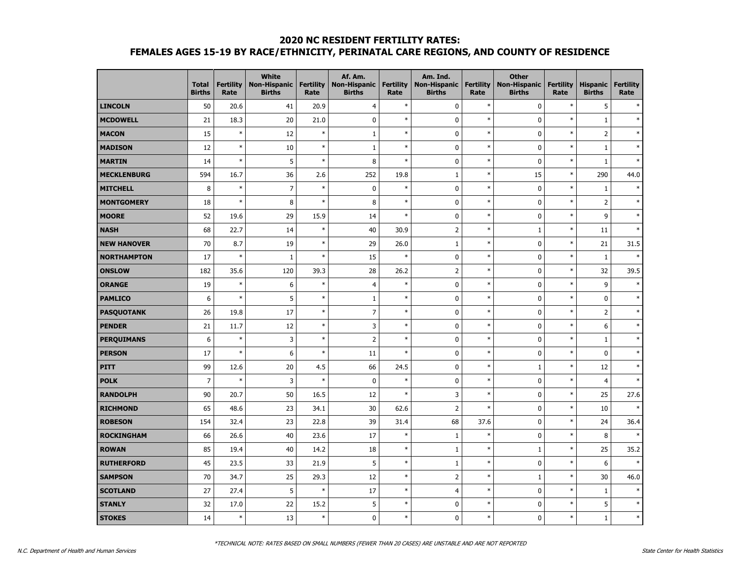## **2020 NC RESIDENT FERTILITY RATES: FEMALES AGES 15-19 BY RACE/ETHNICITY, PERINATAL CARE REGIONS, AND COUNTY OF RESIDENCE**

|                    | <b>Total</b><br><b>Births</b> | <b>Fertility</b><br>Rate | <b>White</b><br><b>Non-Hispanic</b><br><b>Births</b> | <b>Fertility</b><br>Rate | Af. Am.<br><b>Non-Hispanic</b><br><b>Births</b> | <b>Fertility</b><br>Rate | Am. Ind.<br><b>Non-Hispanic</b><br><b>Births</b> | <b>Fertility</b><br>Rate | <b>Other</b><br><b>Non-Hispanic</b><br><b>Births</b> | <b>Fertility</b><br>Rate | <b>Hispanic</b><br><b>Births</b> | <b>Fertility</b><br>Rate |
|--------------------|-------------------------------|--------------------------|------------------------------------------------------|--------------------------|-------------------------------------------------|--------------------------|--------------------------------------------------|--------------------------|------------------------------------------------------|--------------------------|----------------------------------|--------------------------|
| <b>LINCOLN</b>     | 50                            | 20.6                     | 41                                                   | 20.9                     | $\overline{4}$                                  | $\ast$                   | $\pmb{0}$                                        | $\ast$                   | $\pmb{0}$                                            | $\ast$                   | 5                                |                          |
| <b>MCDOWELL</b>    | 21                            | 18.3                     | 20                                                   | 21.0                     | $\pmb{0}$                                       | $\ast$                   | $\mathbf 0$                                      | $\ast$                   | $\pmb{0}$                                            | $\ast$                   | $\mathbf 1$                      | $\ast$                   |
| <b>MACON</b>       | 15                            | $\ast$                   | 12                                                   | $\ast$                   | $\mathbf 1$                                     | $\ast$                   | $\pmb{0}$                                        | $\ast$                   | $\pmb{0}$                                            | $\ast$                   | $\overline{2}$                   | $\ast$                   |
| <b>MADISON</b>     | 12                            | $\ast$                   | 10                                                   | $\ast$                   | $\mathbf 1$                                     | $\ast$                   | $\mathbf 0$                                      | $\ast$                   | $\pmb{0}$                                            | $\ast$                   | $\mathbf 1$                      |                          |
| <b>MARTIN</b>      | 14                            | $\ast$                   | 5                                                    | $\ast$                   | 8                                               | $\ast$                   | $\pmb{0}$                                        | $\ast$                   | $\pmb{0}$                                            | $\ast$                   | $\mathbf 1$                      | $\ast$                   |
| <b>MECKLENBURG</b> | 594                           | 16.7                     | 36                                                   | 2.6                      | 252                                             | 19.8                     | $1\,$                                            | $\ast$                   | 15                                                   | $\ast$                   | 290                              | 44.0                     |
| <b>MITCHELL</b>    | 8                             | $\ast$                   | $\overline{7}$                                       | $\ast$                   | $\pmb{0}$                                       | $\ast$                   | $\pmb{0}$                                        | $\ast$                   | $\pmb{0}$                                            | $\ast$                   | $\mathbf 1$                      |                          |
| <b>MONTGOMERY</b>  | 18                            | s,                       | 8                                                    | $\ast$                   | 8                                               | $\ast$                   | $\mathbf 0$                                      | $\ast$                   | $\pmb{0}$                                            | $\ast$                   | $\overline{2}$                   |                          |
| <b>MOORE</b>       | 52                            | 19.6                     | 29                                                   | 15.9                     | 14                                              | $\ast$                   | $\mathbf 0$                                      | $\ast$                   | $\pmb{0}$                                            | $\ast$                   | 9                                | $\ast$                   |
| <b>NASH</b>        | 68                            | 22.7                     | 14                                                   | $\ast$                   | 40                                              | 30.9                     | $\overline{2}$                                   | $\ast$                   | $1\,$                                                | $\ast$                   | 11                               | $\ast$                   |
| <b>NEW HANOVER</b> | 70                            | 8.7                      | 19                                                   | $\ast$                   | 29                                              | 26.0                     | $\mathbf 1$                                      | $\ast$                   | $\pmb{0}$                                            | $\ast$                   | 21                               | 31.5                     |
| <b>NORTHAMPTON</b> | 17                            | s,                       | $\mathbf{1}$                                         | $\ast$                   | 15                                              | $\ast$                   | $\mathbf 0$                                      | $\ast$                   | $\pmb{0}$                                            | $\ast$                   | $\mathbf{1}$                     | $\ast$                   |
| <b>ONSLOW</b>      | 182                           | 35.6                     | 120                                                  | 39.3                     | 28                                              | 26.2                     | $\overline{2}$                                   | $\ast$                   | $\pmb{0}$                                            | $\ast$                   | 32                               | 39.5                     |
| <b>ORANGE</b>      | 19                            | $\ast$                   | 6                                                    | $\ast$                   | $\overline{4}$                                  | $\ast$                   | $\mathbf 0$                                      | $\ast$                   | $\pmb{0}$                                            | $\ast$                   | 9                                | $\ast$                   |
| <b>PAMLICO</b>     | 6                             | $\ast$                   | 5                                                    | $\ast$                   | $\mathbf 1$                                     | $\ast$                   | $\pmb{0}$                                        | $\ast$                   | $\pmb{0}$                                            | $\ast$                   | $\pmb{0}$                        | $\ast$                   |
| <b>PASQUOTANK</b>  | 26                            | 19.8                     | 17                                                   | $\ast$                   | $\overline{7}$                                  | $\ast$                   | $\mathbf 0$                                      | $\ast$                   | $\pmb{0}$                                            | $\ast$                   | $\overline{2}$                   | $\ast$                   |
| <b>PENDER</b>      | 21                            | 11.7                     | 12                                                   | $\ast$                   | 3                                               | $\ast$                   | $\pmb{0}$                                        | $\ast$                   | $\pmb{0}$                                            | $\ast$                   | 6                                | $\ast$                   |
| <b>PERQUIMANS</b>  | 6                             | $\ast$                   | 3                                                    | $\ast$                   | $\overline{2}$                                  | $\ast$                   | $\mathbf 0$                                      | $\ast$                   | $\bf{0}$                                             | $\ast$                   | 1                                | $\ast$                   |
| <b>PERSON</b>      | 17                            | $\ast$                   | 6                                                    | $\ast$                   | 11                                              | $\ast$                   | $\mathbf 0$                                      | $\ast$                   | $\pmb{0}$                                            | $\ast$                   | $\mathbf 0$                      | $\ast$                   |
| <b>PITT</b>        | 99                            | 12.6                     | 20                                                   | 4.5                      | 66                                              | 24.5                     | $\mathbf 0$                                      | $\ast$                   | $1\,$                                                | $\ast$                   | 12                               | $\ast$                   |
| <b>POLK</b>        | $\overline{7}$                | $\ast$                   | 3                                                    | $\ast$                   | $\mathbf 0$                                     | $\ast$                   | 0                                                | $\ast$                   | $\bf{0}$                                             | $\ast$                   | $\overline{4}$                   | $\ast$                   |
| <b>RANDOLPH</b>    | 90                            | 20.7                     | 50                                                   | 16.5                     | 12                                              | $\ast$                   | 3                                                | $\ast$                   | $\bf{0}$                                             | $\ast$                   | 25                               | 27.6                     |
| <b>RICHMOND</b>    | 65                            | 48.6                     | 23                                                   | 34.1                     | 30                                              | 62.6                     | $\overline{2}$                                   | $\ast$                   | $\pmb{0}$                                            | $\ast$                   | 10                               | $\ast$                   |
| <b>ROBESON</b>     | 154                           | 32.4                     | 23                                                   | 22.8                     | 39                                              | 31.4                     | 68                                               | 37.6                     | $\pmb{0}$                                            | $\ast$                   | 24                               | 36.4                     |
| <b>ROCKINGHAM</b>  | 66                            | 26.6                     | 40                                                   | 23.6                     | 17                                              | $\ast$                   | $\mathbf{1}$                                     | $\ast$                   | $\pmb{0}$                                            | $\ast$                   | 8                                | $\ast$                   |
| <b>ROWAN</b>       | 85                            | 19.4                     | 40                                                   | 14.2                     | 18                                              | $\ast$                   | $\mathbf{1}$                                     | $\ast$                   | $\mathbf{1}$                                         | $\ast$                   | 25                               | 35.2                     |
| <b>RUTHERFORD</b>  | 45                            | 23.5                     | 33                                                   | 21.9                     | 5                                               | $\ast$                   | $1\,$                                            | $\ast$                   | $\pmb{0}$                                            | $\ast$                   | 6                                |                          |
| <b>SAMPSON</b>     | 70                            | 34.7                     | 25                                                   | 29.3                     | 12                                              | $\ast$                   | $\overline{2}$                                   | $\ast$                   | $1\,$                                                | $\ast$                   | 30                               | 46.0                     |
| <b>SCOTLAND</b>    | 27                            | 27.4                     | 5                                                    | $\ast$                   | 17                                              | $\ast$                   | $\overline{4}$                                   | $\ast$                   | $\pmb{0}$                                            | $\ast$                   | $\mathbf{1}$                     |                          |
| <b>STANLY</b>      | 32                            | 17.0                     | 22                                                   | 15.2                     | 5                                               | $\ast$                   | $\mathbf 0$                                      | $\ast$                   | $\pmb{0}$                                            | $\ast$                   | 5                                | $\ast$                   |
| <b>STOKES</b>      | 14                            | $\ast$                   | 13                                                   | $\ast$                   | $\mathbf{0}$                                    | $\ast$                   | $\mathbf{0}$                                     | $\ast$                   | $\mathbf{0}$                                         | $\ast$                   | $\mathbf{1}$                     | $\ast$                   |